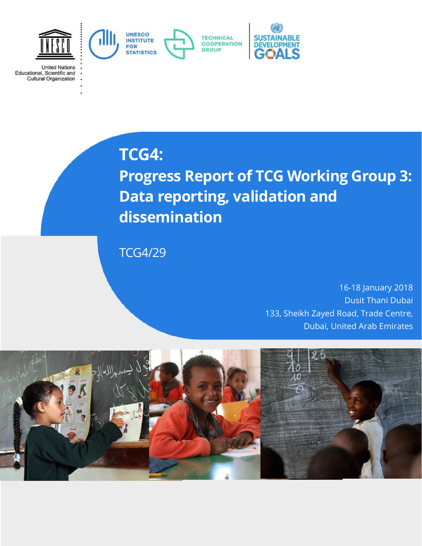

**United Nations** Educational, Scientific and<br>Cultural Organization

# **TCG4:**

**Progress Report of TCG Working Group 3: Data reporting, validation and dissemination**

TCG4/29

16-18 January 2018 Dusit Thani Dubai 133, Sheikh Zayed Road, Trade Centre, Dubai, United Arab Emirates

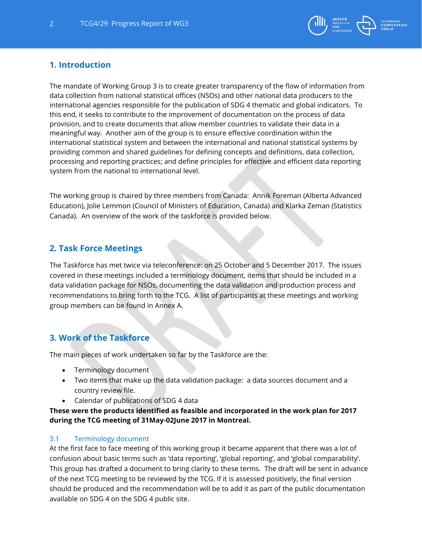

## **1. Introduction**

The mandate of Working Group 3 is to create greater transparency of the flow of information from data collection from national statistical offices (NSOs) and other national data producers to the international agencies responsible for the publication of SDG 4 thematic and global indicators. To this end, it seeks to contribute to the improvement of documentation on the process of data provision, and to create documents that allow member countries to validate their data in a meaningful way. Another aim of the group is to ensure effective coordination within the international statistical system and between the international and national statistical systems by providing common and shared guidelines for defining concepts and definitions, data collection, processing and reporting practices; and define principles for effective and efficient data reporting system from the national to international level.

The working group is chaired by three members from Canada: Annik Foreman (Alberta Advanced Education), Jolie Lemmon (Council of Ministers of Education, Canada) and Klarka Zeman (Statistics Canada). An overview of the work of the taskforce is provided below.

## **2. Task Force Meetings**

The Taskforce has met twice via teleconference: on 25 October and 5 December 2017. The issues covered in these meetings included a terminology document, items that should be included in a data validation package for NSOs, documenting the data validation and production process and recommendations to bring forth to the TCG. A list of participants at these meetings and working group members can be found in Annex A.

## **3. Work of the Taskforce**

The main pieces of work undertaken so far by the Taskforce are the:

- Terminology document
- Two items that make up the data validation package: a data sources document and a country review file.
- Calendar of publications of SDG 4 data

**These were the products identified as feasible and incorporated in the work plan for 2017 during the TCG meeting of 31May-02June 2017 in Montreal.** 

#### 3.1 Terminology document

At the first face to face meeting of this working group it became apparent that there was a lot of confusion about basic terms such as 'data reporting', 'global reporting', and 'global comparability'. This group has drafted a document to bring clarity to these terms. The draft will be sent in advance of the next TCG meeting to be reviewed by the TCG. If it is assessed positively, the final version should be produced and the recommendation will be to add it as part of the public documentation available on SDG 4 on the SDG 4 public site.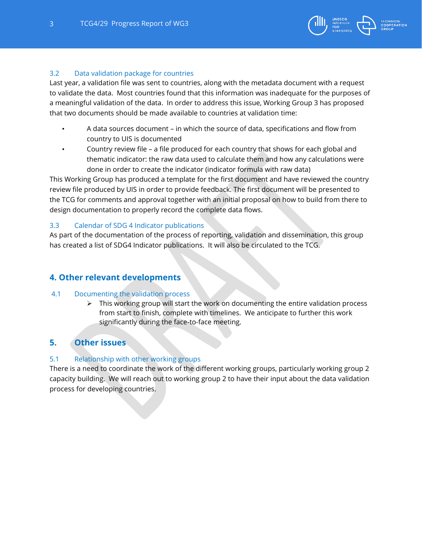

#### 3.2 Data validation package for countries

Last year, a validation file was sent to countries, along with the metadata document with a request to validate the data. Most countries found that this information was inadequate for the purposes of a meaningful validation of the data. In order to address this issue, Working Group 3 has proposed that two documents should be made available to countries at validation time:

- A data sources document in which the source of data, specifications and flow from country to UIS is documented
- Country review file a file produced for each country that shows for each global and thematic indicator: the raw data used to calculate them and how any calculations were done in order to create the indicator (indicator formula with raw data)

This Working Group has produced a template for the first document and have reviewed the country review file produced by UIS in order to provide feedback. The first document will be presented to the TCG for comments and approval together with an initial proposal on how to build from there to design documentation to properly record the complete data flows.

#### 3.3 Calendar of SDG 4 Indicator publications

As part of the documentation of the process of reporting, validation and dissemination, this group has created a list of SDG4 Indicator publications. It will also be circulated to the TCG.

## **4. Other relevant developments**

#### 4.1 Documenting the validation process

 $\triangleright$  This working group will start the work on documenting the entire validation process from start to finish, complete with timelines. We anticipate to further this work significantly during the face-to-face meeting.

## **5. Other issues**

#### 5.1 Relationship with other working groups

There is a need to coordinate the work of the different working groups, particularly working group 2 capacity building. We will reach out to working group 2 to have their input about the data validation process for developing countries.